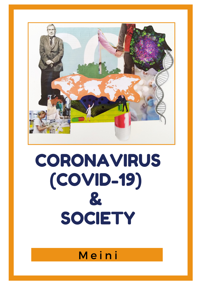

# CORONAVIRUS  $(COVID-19)$ & SOCIETY

## Meini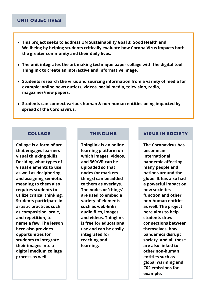#### UNIT OBJECTIVES

- **This project seeks to address UN Sustainability Goal 3: Good Health and Wellbeing by helping students critically evaluate how Corona Virus impacts both the greater community and their daily lives.**
- **The unit integrates the art making technique paper collage with the digital tool Thinglink to create an interactive and informative image.**
- **Students research the virus and sourcing information from a variety of media for example; online news outlets, videos, social media, television, radio, magazines/new papers.**
- **Students can connect various human & non-human entities being impacted by spread of the Coronavirus.**

#### COLLAGE

**Collage is a form of art that engages learners visual thinking skills. Deciding what types of visual elements to use as well as deciphering and assigning semiotic meaning to them also requires students to utilize critical thinking. Students participate in artistic practices such as composition, scale, and repetition, to name a few. The lesson here also provides opportunities for students to integrate their images into a digital medium collage process as well.** 

**Thinglink is an online learning platform on which images, videos, and 360/VR can be uploaded so that nodes (or markers things) can be added to them as overlays. The nodes or 'things' are used to embed a variety of elements such as web-links, audio files, images, and videos. Thinglink is free for educational use and can be easily integrated for teaching and learning.**

#### THINGLINK VIRUS IN SOCIETY

**The Coronavirus has become an international pandemic affecting many people and nations around the globe. It has also had a powerful impact on how societies function and other non-human entities as well. The project here aims to help students draw connections between themselves, how pandemics disrupt society, and all these are also linked to other non-human entities such as global warming and C02 emissions for example.**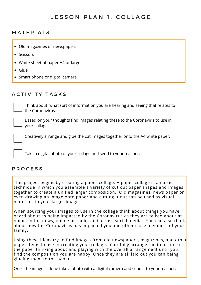#### LESSON PLAN 1: COLLAGE

#### **MATERIALS**

- Old magazines or newspapers
- Scissors
- White sheet of paper A4 or larger
- Glue
- Smart phone or digital camera

#### A C T I V I T Y T A S K S

Think about what sort of information you are hearing and seeing that relates to the Coronavirus.

Based on your thoughts find images relating these to the Coronaviris to use in your collage.

Creatively arrange and glue the cut images together onto the A4 white paper.

Take a digital photo of your collage and send to your teacher.

#### P R O C E S S

This project begins by creating a paper collage. A paper collage is an artist technique in which you assemble a variety of cut out paper shapes and images together to create a unified larger composition. Old magazines, news paper or even drawing an image onto paper and cutting it out can be used as visual materials in your larger image.

When sourcing your images to use in the collage think about things you have heard about as being impacted by the Coronavirus as they are talked about at home, in the news, online or radio, and across social media. You can also think about how the Coronavirus has impacted you and other close members of your family.

Using these ideas try to find images from old newspapers, magazines, and other paper items to use in creating your collage. Carefully arrange the items onto the paper thinking about and playing with the overall arrangement until you find the composition you are happy. Once they are all laid out you can being glueing them to the paper.

Once the image is done take a photo with a digital camera and send it to your teacher.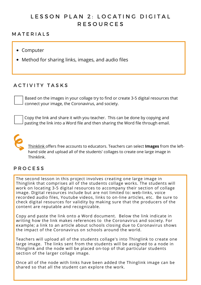### LESSON PLAN 2: LOCATING DIGITAL R E S O U R C E S

#### **MATERIALS**

- Computer
- Method for sharing links, images, and audio files

#### ACTIVITY TASKS

Based on the images in your collage try to find or create 3-5 digital resources that connect your image, the Coronavirus, and society.

Copy the link and share it with you teacher. This can be done by copying and pasting the link into a Word file and then sharing the Word file through email.



[Thinklink](https://www.thinglink.com/) offers free accounts to educators. Teachers can select **Images** from the lefthand side and upload all of the students' collages to create one large image in Thinklink.

#### **P R O C E S S**

The second lesson in this project involves creating one large image in Thinglink that comprises all of the students collage works. The students will work on locating 3-5 digital resources to accompany their section of collage image. Digital resources include but are not limited to: web-links, voice recorded audio files, Youtube videos, links to on-line articles, etc. Be sure to check digital resources for validity by making sure that the producers of the content are reputable and recognizable.

Copy and paste the link onto a Word document. Below the link indicate in writing how the link makes references to the Coronavirus and society. For example; a link to an article about schools closing due to Coronavirus shows the impact of the Coronavirus on schools around the world.

Teachers will upload all of the students collage's into Thinglink to create one large image. The links sent from the students will be assigned to a node in Thinglink and the node will be placed on-top of that particular students section of the larger collage image.

Once all of the node with links have been added the Thinglink image can be shared so that all the student can explore the work.